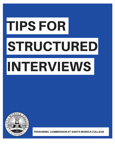# TIPS FOR **STRUCTURED** INTERVIEWS



PERSONNEL COMMISSION AT SANTA MONICA COLLEGE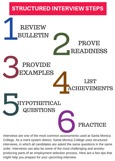### STRUCTURED INTERVIEW STEPS

### REVIEW BULLETIN S PROVIDE<br>EXAMPLES<br>ACI REVIEW BULLETIN PROVE READINESS PROVIDE EXAMPLES LIST **EVEMENTS**

HYPOTHETICAL<br>QUESTIONS<br>Interviews are one of the most common assessments us YPOTHETICAL QUESTIONS

Interviews are one of the most common assessments used at Santa Monica College. As a merit system district, Santa Monica College uses structured interviews, in which all candidates are asked the same questions in the same order. Interviews can also be some of the most challenging and anxietyproducing parts of an employment selection process. Here are a few tips that might help you prepare for your upcoming interview.

**PRACTICE**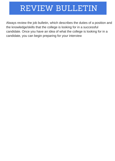### REVIEW BULLETIN

Always review the job bulletin, which describes the duties of a position and the knowledge/skills that the college is looking for in a successful candidate. Once you have an idea of what the college is looking for in a candidate, you can begin preparing for your interview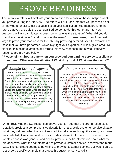## PROVE READINESS

The interview raters will evaluate your preparation for a position based **only** on what you provide during the interview. The raters will NOT assume that you possess a set of knowledge or skills, just because it is on your application. You must prove to the raters that you are truly the best qualified person to do this job. Many interview questions will ask candidates to describe "what was the situation", "what did you do to address the situation", and "what was the result". In these cases, one of the best ways to prove your readiness for the job is by providing detailed, specific examples of tasks that you have performed, which highlight your expertise/skill in a given area. To highlight this point, examples of a strong interview response and a weak interview response are provided below.

**"Please tell us about a time when you provided outstanding service to a client or customer. What was the situation? What did you do? What was the result?"**

### *Sample Strong Response Sample Weak Response*

When I was working as a Cashier at ABC Company, there was a customer who wanted to use a discount coupon, but forgot it at home. She told me which coupon it was, and I knew we were offering that specific deal; unfortunately, store policy says that we cannot offer a discount unless the customer actually has the coupon on hand. I was planning to buy something that day and happened to have a coupon with me, so I gave my coupon to the customer. She was very thankful, and even spoke to my manager about how appreciative she was.

I've been in the customer service field a long time, and there are a lot of times when I've been complimented on my customer service. I just try to be as helpful as I can, and if there's something that I can do to make someone happy, I do it. There have been many times when I've pushed a cart to someone's car or done other things to help out my customers. Everyone at work thinks I'm one of the best customer service representatives in our company.

When reviewing the two responses above, you can see that the strong response is detailed, provides a comprehensive description of a specific customer service situation, what they did, and what the result was; additionally, even though the strong response was detailed, it was brief and did not include irrelevant information. In contrast, the weak response was generic, and did not provide specific information about what the situation was, what the candidate did to provide customer service, and what the result was. The candidate seems to be willing to provide customer service, but wasn't able to describe a specific example that proves his customer service skills.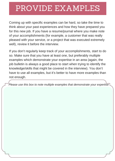### PROVIDE EXAMPLES

Coming up with specific examples can be hard, so take the time to think about your past experiences and how they have prepared you for this new job. If you have a resume/journal where you make note of your accomplishments (for example, a customer that was really pleased with your service, or a project that was executed extremely well), review it before the interview.

If you don't regularly keep track of your accomplishments, start to do so. Make sure that you have at least one, but preferably multiple examples which demonstrate your expertise in an area (again, the job bulletin is always a good place to start when trying to identify the knowledge/skills that might be covered in the interview). You don't have to use all examples, but it's better to have more examples than not enough.

*Please use this box to note multiple examples that demonstrate your expertise*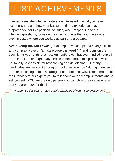## LIST ACHIEVEMENTS

In most cases, the interview raters are interested in what you have accomplished, and how your background and experiences have prepared you for this position. As such, when responding to the interview questions, focus on the specific things that you have done, even in cases where you worked as part of a group/team.

**Avoid using the word "we"** (for example, "we completed a very difficult and complex project…"); instead,**use the word "I"** ,and focus on the specific tasks or parts of an assignment/project that you handled yourself (for example, "although many people contributed to this project, I was personally responsible for researching and developing…"). Many candidates are reluctant to brag or "toot their own horn" during interviews, for fear of coming across as arrogant or prideful; however, remember that the interview raters expect you to talk about your accomplishments and to sell yourself; YOU are the only person who can show the interview raters that you are ready for this job.

*Please use this box to note specific examples of your accomplishments*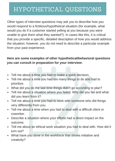### HYPOTHETICAL QUESTIONS

Other types of interview questions may ask you to describe how you would respond to a fictitious/hypothetical situation (for example, what would you do if a customer started yelling at you because you were unable to give them what they wanted?). In cases like this, it is critical that you provide a specific, detailed description of how you would address the situation; however, you do not need to describe a particular example from your past experience.

### **Here are some examples of other hypothetical/behavioral questions you can consult in preparation for your interview:**

- Tell me about a time you had to make a quick decision.
- Tell me about a time you had too many things to do and had to prioritize.
- What did you do the last time things didn't go according to plan?
- Tell me about a situation where you failed. Why did you fail and what did you learn from it?
- Tell me about a time you had to work with someone who did things very differently from you.
- Tell me about a time when you had to deal with a difficult client or coworker.
- Describe a situation where your efforts had a direct impact on the outcome.
- Tell me about an ethical work situation you had to deal with. How did it turn out?
- What have you done in the workforce that shows initiative and creativity?